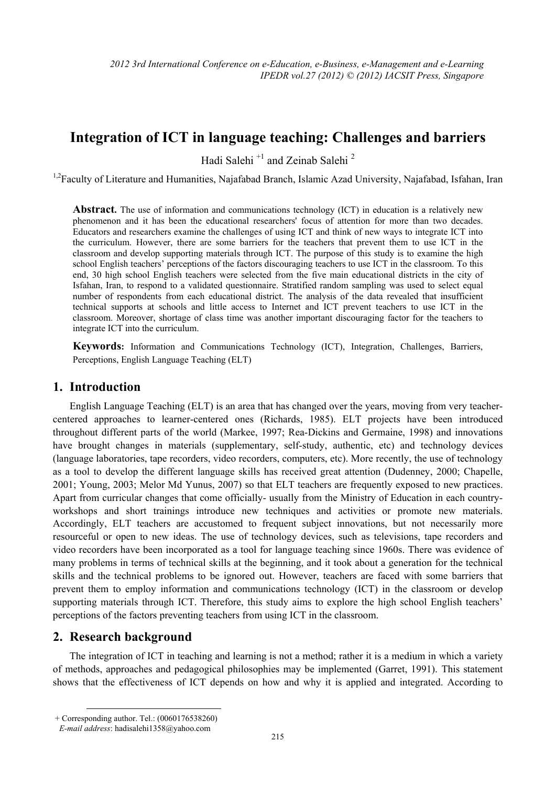# **Integration of ICT in language teaching: Challenges and barriers**

Hadi Salehi $^{\mathrm {+1}}$  and Zeinab Salehi $^{\mathrm {2}}$ 

<sup>1,2</sup>Faculty of Literature and Humanities, Najafabad Branch, Islamic Azad University, Najafabad, Isfahan, Iran

**Abstract.** The use of information and communications technology (ICT) in education is a relatively new phenomenon and it has been the educational researchers' focus of attention for more than two decades. Educators and researchers examine the challenges of using ICT and think of new ways to integrate ICT into the curriculum. However, there are some barriers for the teachers that prevent them to use ICT in the classroom and develop supporting materials through ICT. The purpose of this study is to examine the high school English teachers' perceptions of the factors discouraging teachers to use ICT in the classroom. To this end, 30 high school English teachers were selected from the five main educational districts in the city of Isfahan, Iran, to respond to a validated questionnaire. Stratified random sampling was used to select equal number of respondents from each educational district. The analysis of the data revealed that insufficient technical supports at schools and little access to Internet and ICT prevent teachers to use ICT in the classroom. Moreover, shortage of class time was another important discouraging factor for the teachers to integrate ICT into the curriculum.

**Keywords:** Information and Communications Technology (ICT), Integration, Challenges, Barriers, Perceptions, English Language Teaching (ELT)

### **1. Introduction**

English Language Teaching (ELT) is an area that has changed over the years, moving from very teachercentered approaches to learner-centered ones (Richards, 1985). ELT projects have been introduced throughout different parts of the world (Markee, 1997; Rea-Dickins and Germaine, 1998) and innovations have brought changes in materials (supplementary, self-study, authentic, etc) and technology devices (language laboratories, tape recorders, video recorders, computers, etc). More recently, the use of technology as a tool to develop the different language skills has received great attention (Dudenney, 2000; Chapelle, 2001; Young, 2003; Melor Md Yunus, 2007) so that ELT teachers are frequently exposed to new practices. Apart from curricular changes that come officially- usually from the Ministry of Education in each countryworkshops and short trainings introduce new techniques and activities or promote new materials. Accordingly, ELT teachers are accustomed to frequent subject innovations, but not necessarily more resourceful or open to new ideas. The use of technology devices, such as televisions, tape recorders and video recorders have been incorporated as a tool for language teaching since 1960s. There was evidence of many problems in terms of technical skills at the beginning, and it took about a generation for the technical skills and the technical problems to be ignored out. However, teachers are faced with some barriers that prevent them to employ information and communications technology (ICT) in the classroom or develop supporting materials through ICT. Therefore, this study aims to explore the high school English teachers' perceptions of the factors preventing teachers from using ICT in the classroom.

# **2. Research background**

The integration of ICT in teaching and learning is not a method; rather it is a medium in which a variety of methods, approaches and pedagogical philosophies may be implemented (Garret, 1991). This statement shows that the effectiveness of ICT depends on how and why it is applied and integrated. According to

**<sup>.</sup>** + Corresponding author. Tel.: (0060176538260)

*E-mail address*: hadisalehi1358@yahoo.com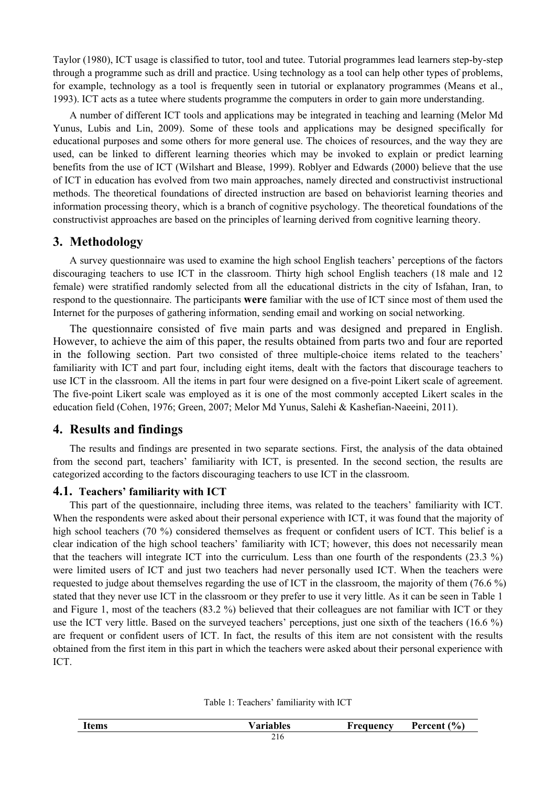Taylor (1980), ICT usage is classified to tutor, tool and tutee. Tutorial programmes lead learners step-by-step through a programme such as drill and practice. Using technology as a tool can help other types of problems, for example, technology as a tool is frequently seen in tutorial or explanatory programmes (Means et al., 1993). ICT acts as a tutee where students programme the computers in order to gain more understanding.

A number of different ICT tools and applications may be integrated in teaching and learning (Melor Md Yunus, Lubis and Lin, 2009). Some of these tools and applications may be designed specifically for educational purposes and some others for more general use. The choices of resources, and the way they are used, can be linked to different learning theories which may be invoked to explain or predict learning benefits from the use of ICT (Wilshart and Blease, 1999). Roblyer and Edwards (2000) believe that the use of ICT in education has evolved from two main approaches, namely directed and constructivist instructional methods. The theoretical foundations of directed instruction are based on behaviorist learning theories and information processing theory, which is a branch of cognitive psychology. The theoretical foundations of the constructivist approaches are based on the principles of learning derived from cognitive learning theory.

#### **3. Methodology**

A survey questionnaire was used to examine the high school English teachers' perceptions of the factors discouraging teachers to use ICT in the classroom. Thirty high school English teachers (18 male and 12 female) were stratified randomly selected from all the educational districts in the city of Isfahan, Iran, to respond to the questionnaire. The participants **were** familiar with the use of ICT since most of them used the Internet for the purposes of gathering information, sending email and working on social networking.

The questionnaire consisted of five main parts and was designed and prepared in English. However, to achieve the aim of this paper, the results obtained from parts two and four are reported in the following section. Part two consisted of three multiple-choice items related to the teachers' familiarity with ICT and part four, including eight items, dealt with the factors that discourage teachers to use ICT in the classroom. All the items in part four were designed on a five-point Likert scale of agreement. The five-point Likert scale was employed as it is one of the most commonly accepted Likert scales in the education field (Cohen, 1976; Green, 2007; Melor Md Yunus, Salehi & Kashefian-Naeeini, 2011).

#### **4. Results and findings**

The results and findings are presented in two separate sections. First, the analysis of the data obtained from the second part, teachers' familiarity with ICT, is presented. In the second section, the results are categorized according to the factors discouraging teachers to use ICT in the classroom.

#### **4.1. Teachers' familiarity with ICT**

This part of the questionnaire, including three items, was related to the teachers' familiarity with ICT. When the respondents were asked about their personal experience with ICT, it was found that the majority of high school teachers (70 %) considered themselves as frequent or confident users of ICT. This belief is a clear indication of the high school teachers' familiarity with ICT; however, this does not necessarily mean that the teachers will integrate ICT into the curriculum. Less than one fourth of the respondents (23.3 %) were limited users of ICT and just two teachers had never personally used ICT. When the teachers were requested to judge about themselves regarding the use of ICT in the classroom, the majority of them (76.6 %) stated that they never use ICT in the classroom or they prefer to use it very little. As it can be seen in Table 1 and Figure 1, most of the teachers (83.2 %) believed that their colleagues are not familiar with ICT or they use the ICT very little. Based on the surveyed teachers' perceptions, just one sixth of the teachers (16.6 %) are frequent or confident users of ICT. In fact, the results of this item are not consistent with the results obtained from the first item in this part in which the teachers were asked about their personal experience with ICT.

| <b>Items</b> | <b>Variables</b> | Frequency | Percent $(\% )$ |
|--------------|------------------|-----------|-----------------|
|              | 216              |           |                 |

Table 1: Teachers' familiarity with ICT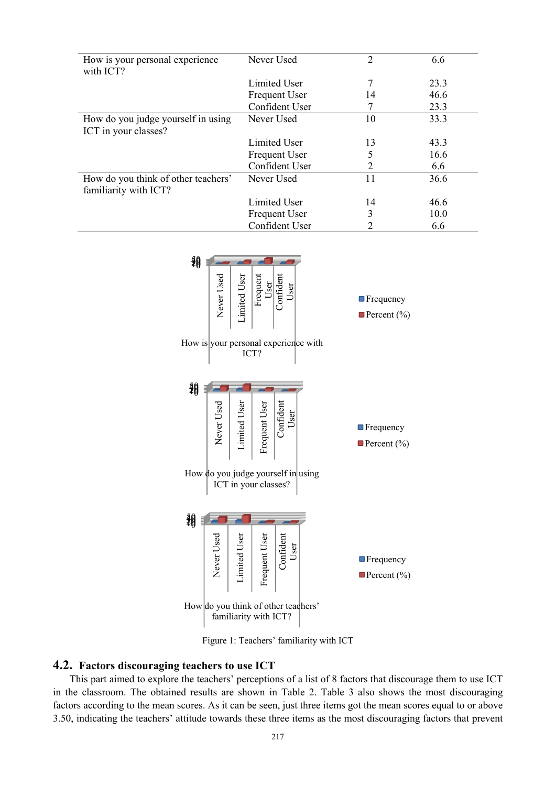| How is your personal experience<br>with ICT?                 | Never Used           | $\overline{2}$ | 6.6  |
|--------------------------------------------------------------|----------------------|----------------|------|
|                                                              | Limited User         |                | 23.3 |
|                                                              | <b>Frequent User</b> | 14             | 46.6 |
|                                                              | Confident User       |                | 23.3 |
| How do you judge yourself in using<br>ICT in your classes?   | Never Used           | 10             | 33.3 |
|                                                              | Limited User         | 13             | 43.3 |
|                                                              | <b>Frequent User</b> | 5              | 16.6 |
|                                                              | Confident User       | 2              | 6.6  |
| How do you think of other teachers'<br>familiarity with ICT? | Never Used           | 11             | 36.6 |
|                                                              | Limited User         | 14             | 46.6 |
|                                                              | Frequent User        | 3              | 10.0 |
|                                                              | Confident User       |                | 6.6  |



Figure 1: Teachers' familiarity with ICT

#### 4.2. Factors discouraging teachers to use ICT

This part aimed to explore the teachers' perceptions of a list of 8 factors that discourage them to use ICT in the classroom. The obtained results are shown in Table 2. Table 3 also shows the most discouraging factors according to the mean scores. As it can be seen, just three items got the mean scores equal to or above 3.50, indicating the teachers' attitude towards these three items as the most discouraging factors that prevent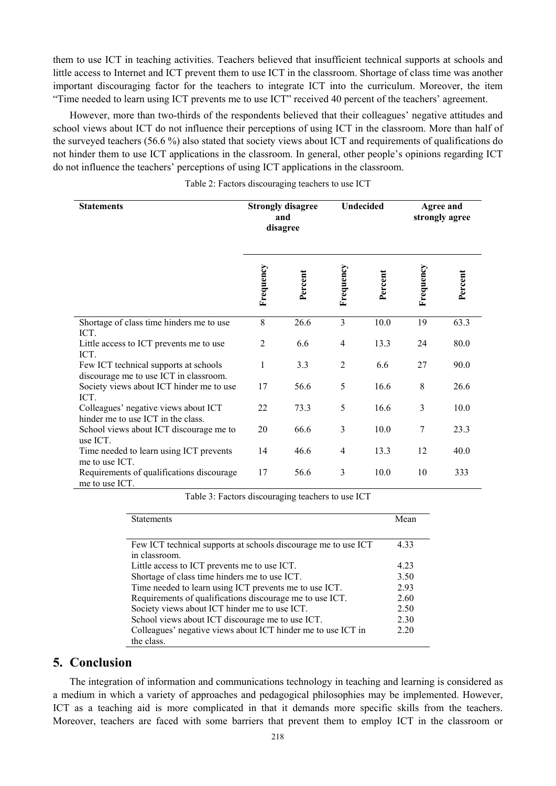them to use ICT in teaching activities. Teachers believed that insufficient technical supports at schools and little access to Internet and ICT prevent them to use ICT in the classroom. Shortage of class time was another important discouraging factor for the teachers to integrate ICT into the curriculum. Moreover, the item "Time needed to learn using ICT prevents me to use ICT" received 40 percent of the teachers' agreement.

However, more than two-thirds of the respondents believed that their colleagues' negative attitudes and school views about ICT do not influence their perceptions of using ICT in the classroom. More than half of the surveyed teachers (56.6 %) also stated that society views about ICT and requirements of qualifications do not hinder them to use ICT applications in the classroom. In general, other people's opinions regarding ICT do not influence the teachers' perceptions of using ICT applications in the classroom.

Table 2: Factors discouraging teachers to use ICT

| <b>Statements</b>                                                               | <b>Strongly disagree</b><br>and<br>disagree |         | Undecided      |         | <b>Agree and</b><br>strongly agree |         |
|---------------------------------------------------------------------------------|---------------------------------------------|---------|----------------|---------|------------------------------------|---------|
|                                                                                 | Frequency                                   | Percent | Frequency      | Percent | Frequency                          | Percent |
| Shortage of class time hinders me to use                                        | 8                                           | 26.6    | 3              | 10.0    | 19                                 | 63.3    |
| ICT.<br>Little access to ICT prevents me to use<br>ICT.                         | 2                                           | 6.6     | $\overline{4}$ | 13.3    | 24                                 | 80.0    |
| Few ICT technical supports at schools<br>discourage me to use ICT in classroom. | 1                                           | 3.3     | $\overline{2}$ | 6.6     | 27                                 | 90.0    |
| Society views about ICT hinder me to use<br>ICT.                                | 17                                          | 56.6    | 5              | 16.6    | 8                                  | 26.6    |
| Colleagues' negative views about ICT<br>hinder me to use ICT in the class.      | 22                                          | 73.3    | 5              | 16.6    | 3                                  | 10.0    |
| School views about ICT discourage me to<br>use ICT.                             | 20                                          | 66.6    | 3              | 10.0    | 7                                  | 23.3    |
| Time needed to learn using ICT prevents<br>me to use ICT.                       | 14                                          | 46.6    | $\overline{4}$ | 13.3    | 12                                 | 40.0    |
| Requirements of qualifications discourage<br>me to use ICT.                     | 17                                          | 56.6    | 3              | 10.0    | 10                                 | 333     |

Table 3: Factors discouraging teachers to use ICT

| <b>Statements</b>                                              | Mean  |
|----------------------------------------------------------------|-------|
|                                                                |       |
| Few ICT technical supports at schools discourage me to use ICT | 4.33  |
| in classroom.                                                  |       |
| Little access to ICT prevents me to use ICT.                   | 4 2 3 |
| Shortage of class time hinders me to use ICT.                  |       |
| Time needed to learn using ICT prevents me to use ICT.         |       |
| Requirements of qualifications discourage me to use ICT.       |       |
| Society views about ICT hinder me to use ICT.                  | 2.50  |
| School views about ICT discourage me to use ICT.               | 2.30  |
| Colleagues' negative views about ICT hinder me to use ICT in   |       |
| the class.                                                     |       |

#### **5. Conclusion**

The integration of information and communications technology in teaching and learning is considered as a medium in which a variety of approaches and pedagogical philosophies may be implemented. However, ICT as a teaching aid is more complicated in that it demands more specific skills from the teachers. Moreover, teachers are faced with some barriers that prevent them to employ ICT in the classroom or